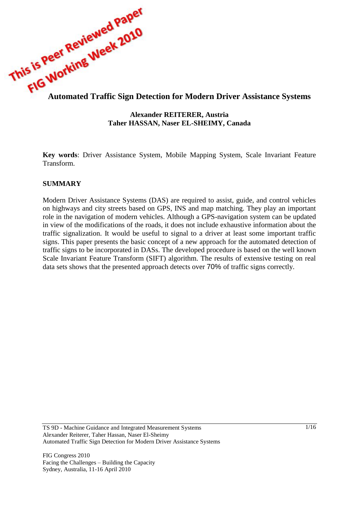

### **Alexander REITERER, Austria Taher HASSAN, Naser EL-SHEIMY, Canada**

**Key words**: Driver Assistance System, Mobile Mapping System, Scale Invariant Feature Transform.

## **SUMMARY**

Modern Driver Assistance Systems (DAS) are required to assist, guide, and control vehicles on highways and city streets based on GPS, INS and map matching. They play an important role in the navigation of modern vehicles. Although a GPS-navigation system can be updated in view of the modifications of the roads, it does not include exhaustive information about the traffic signalization. It would be useful to signal to a driver at least some important traffic signs. This paper presents the basic concept of a new approach for the automated detection of traffic signs to be incorporated in DASs. The developed procedure is based on the well known Scale Invariant Feature Transform (SIFT) algorithm. The results of extensive testing on real data sets shows that the presented approach detects over 70% of traffic signs correctly.

TS 9D - Machine Guidance and Integrated Measurement Systems Alexander Reiterer, Taher Hassan, Naser El-Sheimy Automated Traffic Sign Detection for Modern Driver Assistance Systems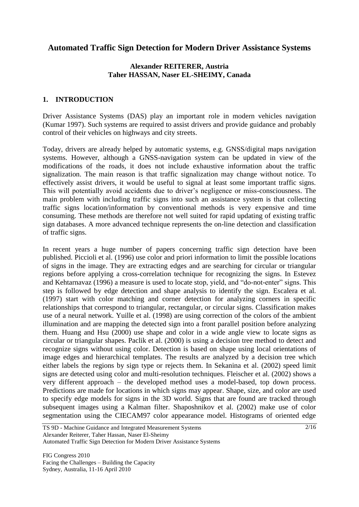# **Automated Traffic Sign Detection for Modern Driver Assistance Systems**

# **Alexander REITERER, Austria Taher HASSAN, Naser EL-SHEIMY, Canada**

## **1. INTRODUCTION**

Driver Assistance Systems (DAS) play an important role in modern vehicles navigation (Kumar 1997). Such systems are required to assist drivers and provide guidance and probably control of their vehicles on highways and city streets.

Today, drivers are already helped by automatic systems, e.g. GNSS/digital maps navigation systems. However, although a GNSS-navigation system can be updated in view of the modifications of the roads, it does not include exhaustive information about the traffic signalization. The main reason is that traffic signalization may change without notice. To effectively assist drivers, it would be useful to signal at least some important traffic signs. This will potentially avoid accidents due to driver's negligence or miss-consciousness. The main problem with including traffic signs into such an assistance system is that collecting traffic signs location/information by conventional methods is very expensive and time consuming. These methods are therefore not well suited for rapid updating of existing traffic sign databases. A more advanced technique represents the on-line detection and classification of traffic signs.

In recent years a huge number of papers concerning traffic sign detection have been published. Piccioli et al. (1996) use color and priori information to limit the possible locations of signs in the image. They are extracting edges and are searching for circular or triangular regions before applying a cross-correlation technique for recognizing the signs. In Estevez and Kehtarnavaz (1996) a measure is used to locate stop, yield, and "do-not-enter" signs. This step is followed by edge detection and shape analysis to identify the sign. Escalera et al. (1997) start with color matching and corner detection for analyzing corners in specific relationships that correspond to triangular, rectangular, or circular signs. Classification makes use of a neural network. Yuille et al. (1998) are using correction of the colors of the ambient illumination and are mapping the detected sign into a front parallel position before analyzing them. Huang and Hsu (2000) use shape and color in a wide angle view to locate signs as circular or triangular shapes. Paclik et al. (2000) is using a decision tree method to detect and recognize signs without using color. Detection is based on shape using local orientations of image edges and hierarchical templates. The results are analyzed by a decision tree which either labels the regions by sign type or rejects them. In Sekanina et al. (2002) speed limit signs are detected using color and multi-resolution techniques. Fleischer et al. (2002) shows a very different approach – the developed method uses a model-based, top down process. Predictions are made for locations in which signs may appear. Shape, size, and color are used to specify edge models for signs in the 3D world. Signs that are found are tracked through subsequent images using a Kalman filter. Shaposhnikov et al. (2002) make use of color segmentation using the CIECAM97 color appearance model. Histograms of oriented edge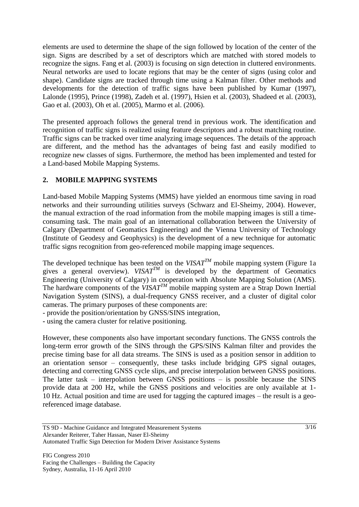elements are used to determine the shape of the sign followed by location of the center of the sign. Signs are described by a set of descriptors which are matched with stored models to recognize the signs. Fang et al. (2003) is focusing on sign detection in cluttered environments. Neural networks are used to locate regions that may be the center of signs (using color and shape). Candidate signs are tracked through time using a Kalman filter. Other methods and developments for the detection of traffic signs have been published by Kumar (1997), Lalonde (1995), Prince (1998), Zadeh et al. (1997), Hsien et al. (2003), Shadeed et al. (2003), Gao et al. (2003), Oh et al. (2005), Marmo et al. (2006).

The presented approach follows the general trend in previous work. The identification and recognition of traffic signs is realized using feature descriptors and a robust matching routine. Traffic signs can be tracked over time analyzing image sequences. The details of the approach are different, and the method has the advantages of being fast and easily modified to recognize new classes of signs. Furthermore, the method has been implemented and tested for a Land-based Mobile Mapping Systems.

# **2. MOBILE MAPPING SYSTEMS**

Land-based Mobile Mapping Systems (MMS) have yielded an enormous time saving in road networks and their surrounding utilities surveys (Schwarz and El-Sheimy, 2004). However, the manual extraction of the road information from the mobile mapping images is still a timeconsuming task. The main goal of an international collaboration between the University of Calgary (Department of Geomatics Engineering) and the Vienna University of Technology (Institute of Geodesy and Geophysics) is the development of a new technique for automatic traffic signs recognition from geo-referenced mobile mapping image sequences.

The developed technique has been tested on the  $VISAT^{TM}$  mobile mapping system (Figure 1a gives a general overview).  $VISAT^T$  is developed by the department of Geomatics Engineering (University of Calgary) in cooperation with Absolute Mapping Solution (AMS). The hardware components of the  $VISAT^{TM}$  mobile mapping system are a Strap Down Inertial Navigation System (SINS), a dual-frequency GNSS receiver, and a cluster of digital color cameras. The primary purposes of these components are:

- provide the position/orientation by GNSS/SINS integration,
- **-** using the camera cluster for relative positioning.

However, these components also have important secondary functions. The GNSS controls the long-term error growth of the SINS through the GPS/SINS Kalman filter and provides the precise timing base for all data streams. The SINS is used as a position sensor in addition to an orientation sensor – consequently, these tasks include bridging GPS signal outages, detecting and correcting GNSS cycle slips, and precise interpolation between GNSS positions. The latter task – interpolation between GNSS positions – is possible because the SINS provide data at 200 Hz, while the GNSS positions and velocities are only available at 1- 10 Hz. Actual position and time are used for tagging the captured images – the result is a georeferenced image database.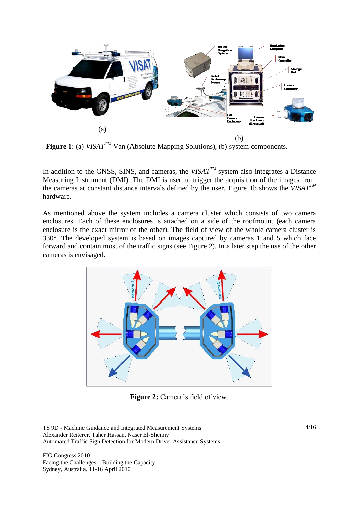

**Figure 1:** (a) *VISAT<sup>TM</sup>* Van (Absolute Mapping Solutions), (b) system components.

In addition to the GNSS, SINS, and cameras, the  $VISAT^{TM}$  system also integrates a Distance Measuring Instrument (DMI). The DMI is used to trigger the acquisition of the images from the cameras at constant distance intervals defined by the user. Figure 1b shows the *VISATTM* hardware.

As mentioned above the system includes a camera cluster which consists of two camera enclosures. Each of these enclosures is attached on a side of the roofmount (each camera enclosure is the exact mirror of the other). The field of view of the whole camera cluster is 330°. The developed system is based on images captured by cameras 1 and 5 which face forward and contain most of the traffic signs (see Figure 2). In a later step the use of the other cameras is envisaged.



Figure 2: Camera's field of view.

FIG Congress 2010 Facing the Challenges – Building the Capacity Sydney, Australia, 11-16 April 2010

TS 9D - Machine Guidance and Integrated Measurement Systems Alexander Reiterer, Taher Hassan, Naser El-Sheimy Automated Traffic Sign Detection for Modern Driver Assistance Systems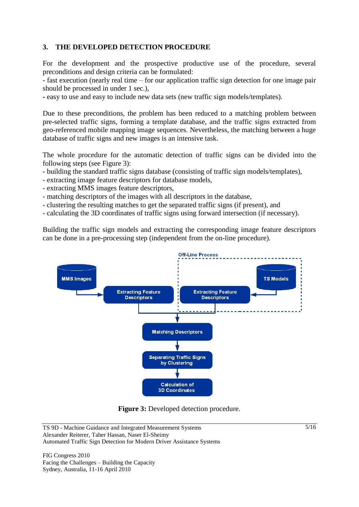# **3. THE DEVELOPED DETECTION PROCEDURE**

For the development and the prospective productive use of the procedure, several preconditions and design criteria can be formulated:

- fast execution (nearly real time – for our application traffic sign detection for one image pair should be processed in under 1 sec.),

**-** easy to use and easy to include new data sets (new traffic sign models/templates).

Due to these preconditions, the problem has been reduced to a matching problem between pre-selected traffic signs, forming a template database, and the traffic signs extracted from geo-referenced mobile mapping image sequences. Nevertheless, the matching between a huge database of traffic signs and new images is an intensive task.

The whole procedure for the automatic detection of traffic signs can be divided into the following steps (see Figure 3):

- building the standard traffic signs database (consisting of traffic sign models/templates),
- *-* extracting image feature descriptors for database models,
- extracting MMS images feature descriptors,
- *-* matching descriptors of the images with all descriptors in the database,
- *-* clustering the resulting matches to get the separated traffic signs (if present), and
- *-* calculating the 3D coordinates of traffic signs using forward intersection (if necessary).

Building the traffic sign models and extracting the corresponding image feature descriptors can be done in a pre-processing step (independent from the on-line procedure).



**Figure 3:** Developed detection procedure.

FIG Congress 2010 Facing the Challenges – Building the Capacity Sydney, Australia, 11-16 April 2010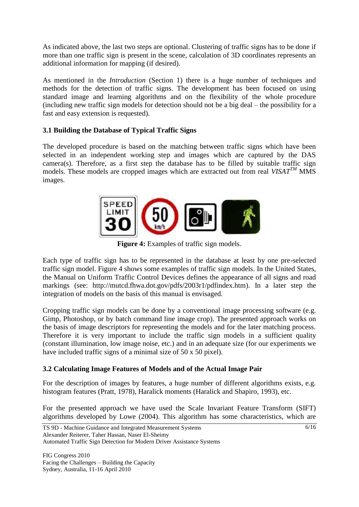As indicated above, the last two steps are optional. Clustering of traffic signs has to be done if more than one traffic sign is present in the scene, calculation of 3D coordinates represents an additional information for mapping (if desired).

As mentioned in the *Introduction* (Section 1) there is a huge number of techniques and methods for the detection of traffic signs. The development has been focused on using standard image and learning algorithms and on the flexibility of the whole procedure (including new traffic sign models for detection should not be a big deal – the possibility for a fast and easy extension is requested).

# **3.1 Building the Database of Typical Traffic Signs**

The developed procedure is based on the matching between traffic signs which have been selected in an independent working step and images which are captured by the DAS camera(s). Therefore, as a first step the database has to be filled by suitable traffic sign models. These models are cropped images which are extracted out from real  $VISAT^{TM}$  MMS images.



**Figure 4:** Examples of traffic sign models.

Each type of traffic sign has to be represented in the database at least by one pre-selected traffic sign model. Figure 4 shows some examples of traffic sign models. In the United States, the Manual on Uniform Traffic Control Devices defines the appearance of all signs and road markings (see: http://mutcd.fhwa.dot.gov/pdfs/2003r1/pdfindex.htm). In a later step the integration of models on the basis of this manual is envisaged.

Cropping traffic sign models can be done by a conventional image processing software (e.g. Gimp, Photoshop, or by batch command line image crop). The presented approach works on the basis of image descriptors for representing the models and for the later matching process. Therefore it is very important to include the traffic sign models in a sufficient quality (constant illumination, low image noise, etc.) and in an adequate size (for our experiments we have included traffic signs of a minimal size of 50 x 50 pixel).

# **3.2 Calculating Image Features of Models and of the Actual Image Pair**

For the description of images by features, a huge number of different algorithms exists, e.g. histogram features (Pratt, 1978), Haralick moments (Haralick and Shapiro, 1993), etc.

For the presented approach we have used the Scale Invariant Feature Transform (SIFT) algorithms developed by Lowe (2004). This algorithm has some characteristics, which are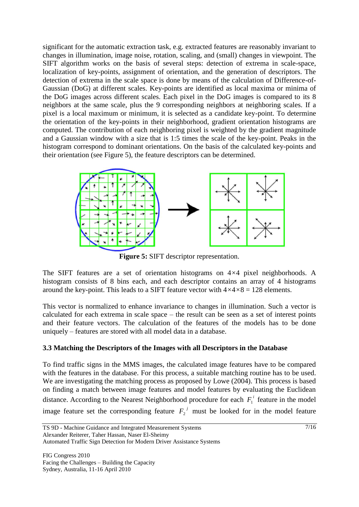significant for the automatic extraction task, e.g. extracted features are reasonably invariant to changes in illumination, image noise, rotation, scaling, and (small) changes in viewpoint. The SIFT algorithm works on the basis of several steps: detection of extrema in scale-space, localization of key-points, assignment of orientation, and the generation of descriptors. The detection of extrema in the scale space is done by means of the calculation of Difference-of-Gaussian (DoG) at different scales. Key-points are identified as local maxima or minima of the DoG images across different scales. Each pixel in the DoG images is compared to its 8 neighbors at the same scale, plus the 9 corresponding neighbors at neighboring scales. If a pixel is a local maximum or minimum, it is selected as a candidate key-point. To determine the orientation of the key-points in their neighborhood, gradient orientation histograms are computed. The contribution of each neighboring pixel is weighted by the gradient magnitude and a Gaussian window with a size that is 1:5 times the scale of the key-point. Peaks in the histogram correspond to dominant orientations. On the basis of the calculated key-points and their orientation (see Figure 5), the feature descriptors can be determined.



**Figure 5:** SIFT descriptor representation.

The SIFT features are a set of orientation histograms on 4*×*4 pixel neighborhoods. A histogram consists of 8 bins each, and each descriptor contains an array of 4 histograms around the key-point. This leads to a SIFT feature vector with  $4 \times 4 \times 8 = 128$  elements.

This vector is normalized to enhance invariance to changes in illumination. Such a vector is calculated for each extrema in scale space – the result can be seen as a set of interest points and their feature vectors. The calculation of the features of the models has to be done uniquely – features are stored with all model data in a database.

# **3.3 Matching the Descriptors of the Images with all Descriptors in the Database**

To find traffic signs in the MMS images, the calculated image features have to be compared with the features in the database. For this process, a suitable matching routine has to be used. We are investigating the matching process as proposed by Lowe (2004). This process is based on finding a match between image features and model features by evaluating the Euclidean distance. According to the Nearest Neighborhood procedure for each  $F_1^i$  feature in the model image feature set the corresponding feature  $F_2^j$  must be looked for in the model feature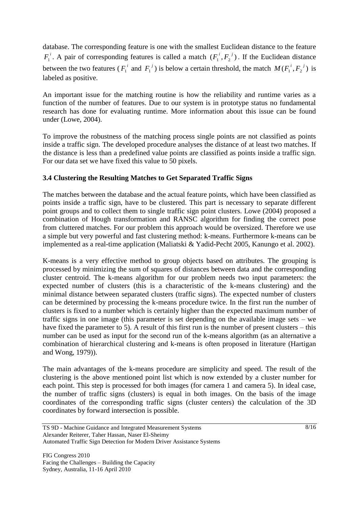database. The corresponding feature is one with the smallest Euclidean distance to the feature  $F_1^i$ . A pair of corresponding features is called a match  $(F_1^i, F_2^j)$ . If the Euclidean distance between the two features ( $F_1^i$  and  $F_1^j$ ) is below a certain threshold, the match  $M(F_1^i, F_2^j)$  is labeled as positive.

An important issue for the matching routine is how the reliability and runtime varies as a function of the number of features. Due to our system is in prototype status no fundamental research has done for evaluating runtime. More information about this issue can be found under (Lowe, 2004).

To improve the robustness of the matching process single points are not classified as points inside a traffic sign. The developed procedure analyses the distance of at least two matches. If the distance is less than a predefined value points are classified as points inside a traffic sign. For our data set we have fixed this value to 50 pixels.

## **3.4 Clustering the Resulting Matches to Get Separated Traffic Signs**

The matches between the database and the actual feature points, which have been classified as points inside a traffic sign, have to be clustered. This part is necessary to separate different point groups and to collect them to single traffic sign point clusters. Lowe (2004) proposed a combination of Hough transformation and RANSC algorithm for finding the correct pose from cluttered matches. For our problem this approach would be oversized. Therefore we use a simple but very powerful and fast clustering method: k-means. Furthermore k-means can be implemented as a real-time application (Maliatski & Yadid-Pecht 2005, Kanungo et al. 2002).

K-means is a very effective method to group objects based on attributes. The grouping is processed by minimizing the sum of squares of distances between data and the corresponding cluster centroid. The k-means algorithm for our problem needs two input parameters: the expected number of clusters (this is a characteristic of the k-means clustering) and the minimal distance between separated clusters (traffic signs). The expected number of clusters can be determined by processing the k-means procedure twice. In the first run the number of clusters is fixed to a number which is certainly higher than the expected maximum number of traffic signs in one image (this parameter is set depending on the available image sets – we have fixed the parameter to 5). A result of this first run is the number of present clusters – this number can be used as input for the second run of the k-means algorithm (as an alternative a combination of hierarchical clustering and k-means is often proposed in literature (Hartigan and Wong, 1979)).

The main advantages of the k-means procedure are simplicity and speed. The result of the clustering is the above mentioned point list which is now extended by a cluster number for each point. This step is processed for both images (for camera 1 and camera 5). In ideal case, the number of traffic signs (clusters) is equal in both images. On the basis of the image coordinates of the corresponding traffic signs (cluster centers) the calculation of the 3D coordinates by forward intersection is possible.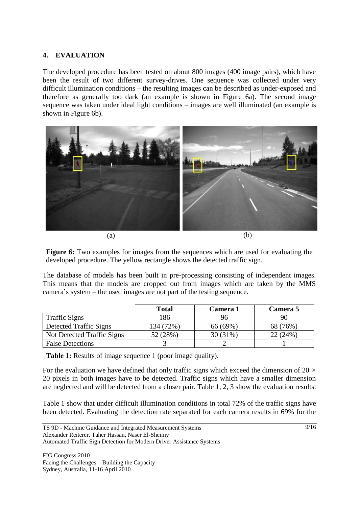## **4. EVALUATION**

The developed procedure has been tested on about 800 images (400 image pairs), which have been the result of two different survey-drives. One sequence was collected under very difficult illumination conditions – the resulting images can be described as under-exposed and therefore as generally too dark (an example is shown in Figure 6a). The second image sequence was taken under ideal light conditions – images are well illuminated (an example is shown in Figure 6b).



**Figure 6:** Two examples for images from the sequences which are used for evaluating the developed procedure. The yellow rectangle shows the detected traffic sign.

The database of models has been built in pre-processing consisting of independent images. This means that the models are cropped out from images which are taken by the MMS camera's system – the used images are not part of the testing sequence.

|                            | <b>Total</b> | Camera 1 | Camera 5 |
|----------------------------|--------------|----------|----------|
| <b>Traffic Signs</b>       | 186          | 96       | 90       |
| Detected Traffic Signs     | 134 (72%)    | 66 (69%) | 68 (76%) |
| Not Detected Traffic Signs | 52 (28%)     | 30(31%)  | 22(24%)  |
| <b>False Detections</b>    |              |          |          |

**Table 1:** Results of image sequence 1 (poor image quality).

For the evaluation we have defined that only traffic signs which exceed the dimension of 20 *×*  20 pixels in both images have to be detected. Traffic signs which have a smaller dimension are neglected and will be detected from a closer pair. Table 1, 2, 3 show the evaluation results.

Table 1 show that under difficult illumination conditions in total 72% of the traffic signs have been detected. Evaluating the detection rate separated for each camera results in 69% for the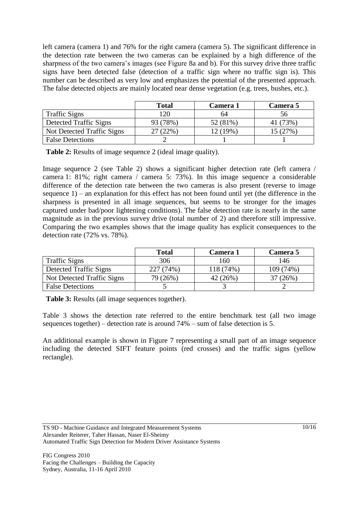left camera (camera 1) and 76% for the right camera (camera 5). The significant difference in the detection rate between the two cameras can be explained by a high difference of the sharpness of the two camera's images (see Figure 8a and b). For this survey drive three traffic signs have been detected false (detection of a traffic sign where no traffic sign is). This number can be described as very low and emphasizes the potential of the presented approach. The false detected objects are mainly located near dense vegetation (e.g. trees, bushes, etc.).

|                            | <b>Total</b> | Camera 1 | <b>Camera 5</b> |
|----------------------------|--------------|----------|-----------------|
| <b>Traffic Signs</b>       | 120          | 64       | 56              |
| Detected Traffic Signs     | 93 (78%)     | 52 (81%) | 41 (73%)        |
| Not Detected Traffic Signs | $(22\%)$     | 12 (19%) | 15 (27%)        |
| <b>False Detections</b>    |              |          |                 |

**Table 2:** Results of image sequence 2 (ideal image quality).

Image sequence 2 (see Table 2) shows a significant higher detection rate (left camera / camera 1: 81%; right camera / camera 5: 73%). In this image sequence a considerable difference of the detection rate between the two cameras is also present (reverse to image sequence 1) – an explanation for this effect has not been found until yet (the difference in the sharpness is presented in all image sequences, but seems to be stronger for the images captured under bad/poor lightening conditions). The false detection rate is nearly in the same magnitude as in the previous survey drive (total number of 2) and therefore still impressive. Comparing the two examples shows that the image quality has explicit consequences to the detection rate (72% vs. 78%).

|                            | <b>Total</b> | Camera 1  | Camera 5  |
|----------------------------|--------------|-----------|-----------|
| <b>Traffic Signs</b>       | 306          | 160       | 146       |
| Detected Traffic Signs     | 227 (74%)    | 118 (74%) | 109 (74%) |
| Not Detected Traffic Signs | 79 (26%)     | 42 (26%)  | (26%)     |
| <b>False Detections</b>    |              |           |           |

**Table 3:** Results (all image sequences together).

Table 3 shows the detection rate referred to the entire benchmark test (all two image sequences together) – detection rate is around 74% – sum of false detection is 5.

An additional example is shown in Figure 7 representing a small part of an image sequence including the detected SIFT feature points (red crosses) and the traffic signs (yellow rectangle).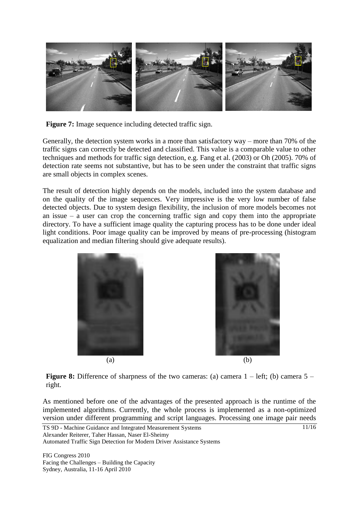

**Figure 7:** Image sequence including detected traffic sign.

Generally, the detection system works in a more than satisfactory way – more than 70% of the traffic signs can correctly be detected and classified. This value is a comparable value to other techniques and methods for traffic sign detection, e.g. Fang et al. (2003) or Oh (2005). 70% of detection rate seems not substantive, but has to be seen under the constraint that traffic signs are small objects in complex scenes.

The result of detection highly depends on the models, included into the system database and on the quality of the image sequences. Very impressive is the very low number of false detected objects. Due to system design flexibility, the inclusion of more models becomes not an issue – a user can crop the concerning traffic sign and copy them into the appropriate directory. To have a sufficient image quality the capturing process has to be done under ideal light conditions. Poor image quality can be improved by means of pre-processing (histogram equalization and median filtering should give adequate results).





**Figure 8:** Difference of sharpness of the two cameras: (a) camera 1 – left; (b) camera 5 – right.

As mentioned before one of the advantages of the presented approach is the runtime of the implemented algorithms. Currently, the whole process is implemented as a non-optimized version under different programming and script languages. Processing one image pair needs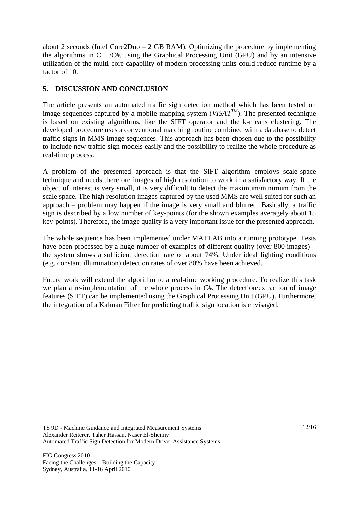about 2 seconds (Intel Core2Duo –  $2$  GB RAM). Optimizing the procedure by implementing the algorithms in  $C++/C$ #, using the Graphical Processing Unit (GPU) and by an intensive utilization of the multi-core capability of modern processing units could reduce runtime by a factor of 10.

# **5. DISCUSSION AND CONCLUSION**

The article presents an automated traffic sign detection method which has been tested on image sequences captured by a mobile mapping system ( $VISAT^{TM}$ ). The presented technique is based on existing algorithms, like the SIFT operator and the k-means clustering. The developed procedure uses a conventional matching routine combined with a database to detect traffic signs in MMS image sequences. This approach has been chosen due to the possibility to include new traffic sign models easily and the possibility to realize the whole procedure as real-time process.

A problem of the presented approach is that the SIFT algorithm employs scale-space technique and needs therefore images of high resolution to work in a satisfactory way. If the object of interest is very small, it is very difficult to detect the maximum/minimum from the scale space. The high resolution images captured by the used MMS are well suited for such an approach – problem may happen if the image is very small and blurred. Basically, a traffic sign is described by a low number of key-points (for the shown examples averagely about 15 key-points). Therefore, the image quality is a very important issue for the presented approach.

The whole sequence has been implemented under MATLAB into a running prototype. Tests have been processed by a huge number of examples of different quality (over 800 images) – the system shows a sufficient detection rate of about 74%. Under ideal lighting conditions (e.g. constant illumination) detection rates of over 80% have been achieved.

Future work will extend the algorithm to a real-time working procedure. To realize this task we plan a re-implementation of the whole process in *C*#. The detection/extraction of image features (SIFT) can be implemented using the Graphical Processing Unit (GPU). Furthermore, the integration of a Kalman Filter for predicting traffic sign location is envisaged.

TS 9D - Machine Guidance and Integrated Measurement Systems Alexander Reiterer, Taher Hassan, Naser El-Sheimy Automated Traffic Sign Detection for Modern Driver Assistance Systems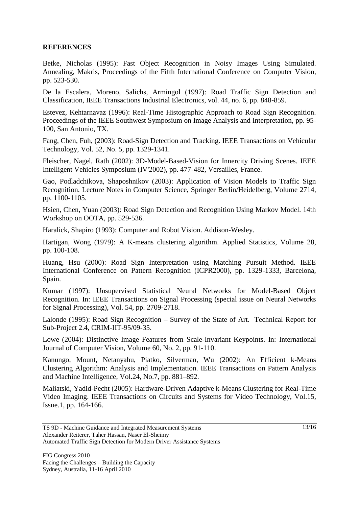### **REFERENCES**

Betke, Nicholas (1995): Fast Object Recognition in Noisy Images Using Simulated. Annealing, Makris, Proceedings of the Fifth International Conference on Computer Vision, pp. 523-530.

De la Escalera, Moreno, Salichs, Armingol (1997): Road Traffic Sign Detection and Classification, IEEE Transactions Industrial Electronics, vol. 44, no. 6, pp. 848-859.

Estevez, Kehtarnavaz (1996): Real-Time Histographic Approach to Road Sign Recognition. Proceedings of the IEEE Southwest Symposium on Image Analysis and Interpretation, pp. 95- 100, San Antonio, TX.

Fang, Chen, Fuh, (2003): Road-Sign Detection and Tracking. IEEE Transactions on Vehicular Technology, Vol. 52, No. 5, pp. 1329-1341.

Fleischer, Nagel, Rath (2002): 3D-Model-Based-Vision for Innercity Driving Scenes. IEEE Intelligent Vehicles Symposium (IV'2002), pp. 477-482, Versailles, France.

Gao, Podladchikova, Shaposhnikov (2003): Application of Vision Models to Traffic Sign Recognition. Lecture Notes in Computer Science, Springer Berlin/Heidelberg, Volume 2714, pp. 1100-1105.

Hsien, Chen, Yuan (2003): Road Sign Detection and Recognition Using Markov Model. 14th Workshop on OOTA, pp. 529-536.

Haralick, Shapiro (1993): Computer and Robot Vision. Addison-Wesley.

Hartigan, Wong (1979): A K-means clustering algorithm. Applied Statistics, Volume 28, pp. 100-108.

Huang, Hsu (2000): Road Sign Interpretation using Matching Pursuit Method. IEEE International Conference on Pattern Recognition (ICPR2000), pp. 1329-1333, Barcelona, Spain.

Kumar (1997): Unsupervised Statistical Neural Networks for Model-Based Object Recognition. In: IEEE Transactions on Signal Processing (special issue on Neural Networks for Signal Processing), Vol. 54, pp. 2709-2718.

Lalonde (1995): Road Sign Recognition – Survey of the State of Art. Technical Report for Sub-Project 2.4, CRIM-IIT-95/09-35.

Lowe (2004): Distinctive Image Features from Scale-Invariant Keypoints. In: International Journal of Computer Vision, Volume 60, No. 2, pp. 91-110.

Kanungo, Mount, Netanyahu, Piatko, Silverman, Wu (2002): An Efficient k-Means Clustering Algorithm: Analysis and Implementation. IEEE Transactions on Pattern Analysis and Machine Intelligence, Vol.24, No.7, pp. 881–892.

Maliatski, Yadid-Pecht (2005): Hardware-Driven Adaptive k-Means Clustering for Real-Time Video Imaging. IEEE Transactions on Circuits and Systems for Video Technology, Vol.15, Issue.1, pp. 164-166.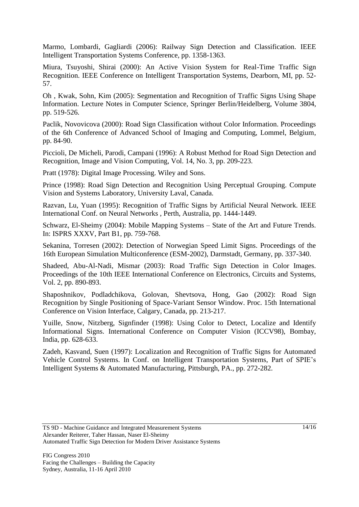Marmo, Lombardi, Gagliardi (2006): Railway Sign Detection and Classification. IEEE Intelligent Transportation Systems Conference, pp. 1358-1363.

Miura, Tsuyoshi, Shirai (2000): An Active Vision System for Real-Time Traffic Sign Recognition. IEEE Conference on Intelligent Transportation Systems, Dearborn, MI, pp. 52- 57.

Oh , Kwak, Sohn, Kim (2005): Segmentation and Recognition of Traffic Signs Using Shape Information. Lecture Notes in Computer Science, Springer Berlin/Heidelberg, Volume 3804, pp. 519-526.

Paclik, Novovicova (2000): Road Sign Classification without Color Information. Proceedings of the 6th Conference of Advanced School of Imaging and Computing, Lommel, Belgium, pp. 84-90.

Piccioli, De Micheli, Parodi, Campani (1996): A Robust Method for Road Sign Detection and Recognition, Image and Vision Computing, Vol. 14, No. 3, pp. 209-223.

Pratt (1978): Digital Image Processing. Wiley and Sons.

Prince (1998): Road Sign Detection and Recognition Using Perceptual Grouping. Compute Vision and Systems Laboratory, University Laval, Canada.

Razvan, Lu, Yuan (1995): Recognition of Traffic Signs by Artificial Neural Network. IEEE International Conf. on Neural Networks , Perth, Australia, pp. 1444-1449.

Schwarz, El-Sheimy (2004): Mobile Mapping Systems – State of the Art and Future Trends. In: ISPRS XXXV, Part B1, pp. 759-768.

Sekanina, Torresen (2002): Detection of Norwegian Speed Limit Signs. Proceedings of the 16th European Simulation Multiconference (ESM-2002), Darmstadt, Germany, pp. 337-340.

Shadeed, Abu-Al-Nadi, Mismar (2003): Road Traffic Sign Detection in Color Images. Proceedings of the 10th IEEE International Conference on Electronics, Circuits and Systems, Vol. 2, pp. 890-893.

Shaposhnikov, Podladchikova, Golovan, Shevtsova, Hong, Gao (2002): Road Sign Recognition by Single Positioning of Space-Variant Sensor Window. Proc. 15th International Conference on Vision Interface, Calgary, Canada, pp. 213-217.

Yuille, Snow, Nitzberg, Signfinder (1998): Using Color to Detect, Localize and Identify Informational Signs. International Conference on Computer Vision (ICCV98), Bombay, India, pp. 628-633.

Zadeh, Kasvand, Suen (1997): Localization and Recognition of Traffic Signs for Automated Vehicle Control Systems. In Conf. on Intelligent Transportation Systems, Part of SPIE's Intelligent Systems & Automated Manufacturing, Pittsburgh, PA., pp. 272-282.

TS 9D - Machine Guidance and Integrated Measurement Systems Alexander Reiterer, Taher Hassan, Naser El-Sheimy Automated Traffic Sign Detection for Modern Driver Assistance Systems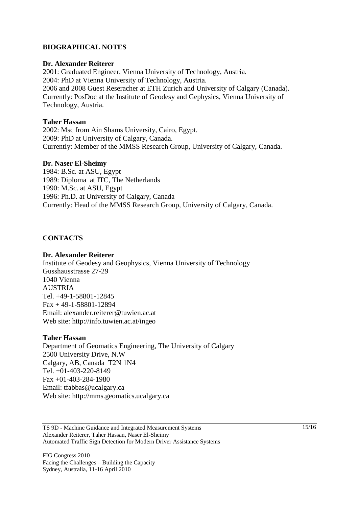## **BIOGRAPHICAL NOTES**

#### **Dr. Alexander Reiterer**

2001: Graduated Engineer, Vienna University of Technology, Austria. 2004: PhD at Vienna University of Technology, Austria. 2006 and 2008 Guest Reseracher at ETH Zurich and University of Calgary (Canada). Currently: PosDoc at the Institute of Geodesy and Gephysics, Vienna University of Technology, Austria.

### **Taher Hassan**

2002: Msc from Ain Shams University, Cairo, Egypt. 2009: PhD at University of Calgary, Canada. Currently: Member of the MMSS Research Group, University of Calgary, Canada.

#### **Dr. Naser El-Sheimy**

1984: B.Sc. at ASU, Egypt 1989: Diploma at ITC, The Netherlands 1990: M.Sc. at ASU, Egypt 1996: Ph.D. at University of Calgary, Canada Currently: Head of the MMSS Research Group, University of Calgary, Canada.

### **CONTACTS**

#### **Dr. Alexander Reiterer**

Institute of Geodesy and Geophysics, Vienna University of Technology Gusshausstrasse 27-29 1040 Vienna **AUSTRIA** Tel. +49-1-58801-12845 Fax + 49-1-58801-12894 Email: alexander.reiterer@tuwien.ac.at Web site: http://info.tuwien.ac.at/ingeo

#### **Taher Hassan**

Department of Geomatics Engineering, The University of Calgary 2500 University Drive, N.W Calgary, AB, Canada T2N 1N4 Tel. +01-403-220-8149 Fax +01-403-284-1980 Email: tfabbas@ucalgary.ca Web site: http://mms.geomatics.ucalgary.ca

TS 9D - Machine Guidance and Integrated Measurement Systems Alexander Reiterer, Taher Hassan, Naser El-Sheimy Automated Traffic Sign Detection for Modern Driver Assistance Systems

FIG Congress 2010 Facing the Challenges – Building the Capacity Sydney, Australia, 11-16 April 2010